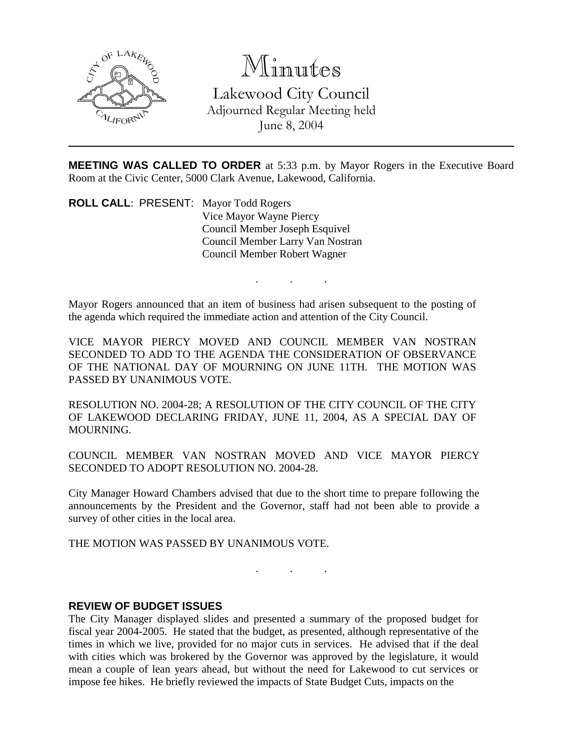

# Minutes

Lakewood City Council Adjourned Regular Meeting held June 8, 2004

**MEETING WAS CALLED TO ORDER** at 5:33 p.m. by Mayor Rogers in the Executive Board Room at the Civic Center, 5000 Clark Avenue, Lakewood, California.

. . .

**ROLL CALL**: PRESENT: Mayor Todd Rogers Vice Mayor Wayne Piercy Council Member Joseph Esquivel Council Member Larry Van Nostran Council Member Robert Wagner

Mayor Rogers announced that an item of business had arisen subsequent to the posting of the agenda which required the immediate action and attention of the City Council.

VICE MAYOR PIERCY MOVED AND COUNCIL MEMBER VAN NOSTRAN SECONDED TO ADD TO THE AGENDA THE CONSIDERATION OF OBSERVANCE OF THE NATIONAL DAY OF MOURNING ON JUNE 11TH. THE MOTION WAS PASSED BY UNANIMOUS VOTE.

RESOLUTION NO. 2004-28; A RESOLUTION OF THE CITY COUNCIL OF THE CITY OF LAKEWOOD DECLARING FRIDAY, JUNE 11, 2004, AS A SPECIAL DAY OF MOURNING.

COUNCIL MEMBER VAN NOSTRAN MOVED AND VICE MAYOR PIERCY SECONDED TO ADOPT RESOLUTION NO. 2004-28.

City Manager Howard Chambers advised that due to the short time to prepare following the announcements by the President and the Governor, staff had not been able to provide a survey of other cities in the local area.

. . .

THE MOTION WAS PASSED BY UNANIMOUS VOTE.

#### **REVIEW OF BUDGET ISSUES**

The City Manager displayed slides and presented a summary of the proposed budget for fiscal year 2004-2005. He stated that the budget, as presented, although representative of the times in which we live, provided for no major cuts in services. He advised that if the deal with cities which was brokered by the Governor was approved by the legislature, it would mean a couple of lean years ahead, but without the need for Lakewood to cut services or impose fee hikes. He briefly reviewed the impacts of State Budget Cuts, impacts on the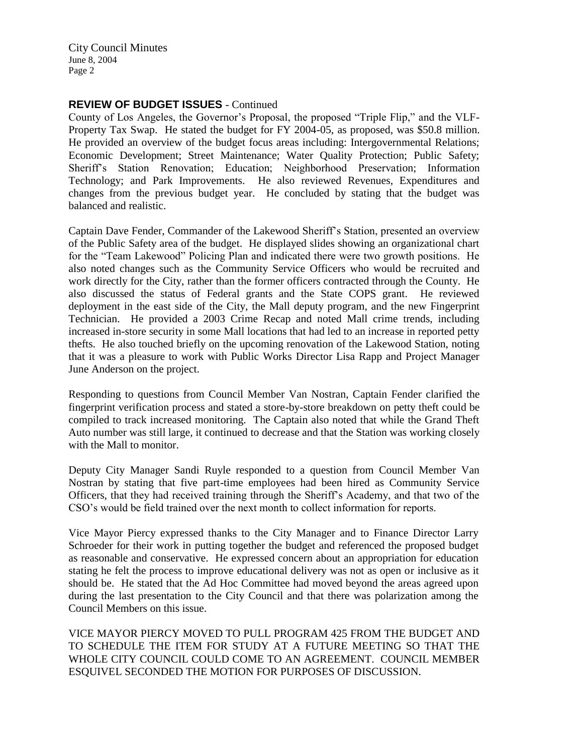#### **REVIEW OF BUDGET ISSUES** - Continued

County of Los Angeles, the Governor's Proposal, the proposed "Triple Flip," and the VLF-Property Tax Swap. He stated the budget for FY 2004-05, as proposed, was \$50.8 million. He provided an overview of the budget focus areas including: Intergovernmental Relations; Economic Development; Street Maintenance; Water Quality Protection; Public Safety; Sheriff's Station Renovation; Education; Neighborhood Preservation; Information Technology; and Park Improvements. He also reviewed Revenues, Expenditures and changes from the previous budget year. He concluded by stating that the budget was balanced and realistic.

Captain Dave Fender, Commander of the Lakewood Sheriff's Station, presented an overview of the Public Safety area of the budget. He displayed slides showing an organizational chart for the "Team Lakewood" Policing Plan and indicated there were two growth positions. He also noted changes such as the Community Service Officers who would be recruited and work directly for the City, rather than the former officers contracted through the County. He also discussed the status of Federal grants and the State COPS grant. He reviewed deployment in the east side of the City, the Mall deputy program, and the new Fingerprint Technician. He provided a 2003 Crime Recap and noted Mall crime trends, including increased in-store security in some Mall locations that had led to an increase in reported petty thefts. He also touched briefly on the upcoming renovation of the Lakewood Station, noting that it was a pleasure to work with Public Works Director Lisa Rapp and Project Manager June Anderson on the project.

Responding to questions from Council Member Van Nostran, Captain Fender clarified the fingerprint verification process and stated a store-by-store breakdown on petty theft could be compiled to track increased monitoring. The Captain also noted that while the Grand Theft Auto number was still large, it continued to decrease and that the Station was working closely with the Mall to monitor.

Deputy City Manager Sandi Ruyle responded to a question from Council Member Van Nostran by stating that five part-time employees had been hired as Community Service Officers, that they had received training through the Sheriff's Academy, and that two of the CSO's would be field trained over the next month to collect information for reports.

Vice Mayor Piercy expressed thanks to the City Manager and to Finance Director Larry Schroeder for their work in putting together the budget and referenced the proposed budget as reasonable and conservative. He expressed concern about an appropriation for education stating he felt the process to improve educational delivery was not as open or inclusive as it should be. He stated that the Ad Hoc Committee had moved beyond the areas agreed upon during the last presentation to the City Council and that there was polarization among the Council Members on this issue.

VICE MAYOR PIERCY MOVED TO PULL PROGRAM 425 FROM THE BUDGET AND TO SCHEDULE THE ITEM FOR STUDY AT A FUTURE MEETING SO THAT THE WHOLE CITY COUNCIL COULD COME TO AN AGREEMENT. COUNCIL MEMBER ESQUIVEL SECONDED THE MOTION FOR PURPOSES OF DISCUSSION.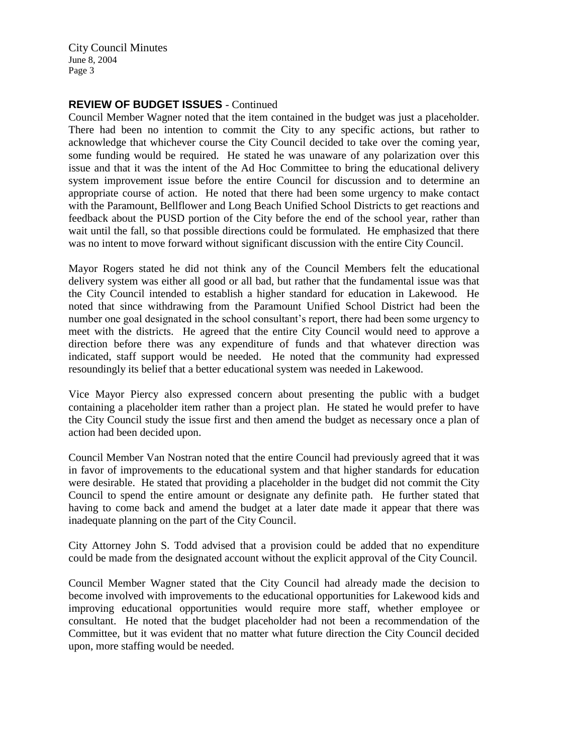### **REVIEW OF BUDGET ISSUES** - Continued

Council Member Wagner noted that the item contained in the budget was just a placeholder. There had been no intention to commit the City to any specific actions, but rather to acknowledge that whichever course the City Council decided to take over the coming year, some funding would be required. He stated he was unaware of any polarization over this issue and that it was the intent of the Ad Hoc Committee to bring the educational delivery system improvement issue before the entire Council for discussion and to determine an appropriate course of action. He noted that there had been some urgency to make contact with the Paramount, Bellflower and Long Beach Unified School Districts to get reactions and feedback about the PUSD portion of the City before the end of the school year, rather than wait until the fall, so that possible directions could be formulated. He emphasized that there was no intent to move forward without significant discussion with the entire City Council.

Mayor Rogers stated he did not think any of the Council Members felt the educational delivery system was either all good or all bad, but rather that the fundamental issue was that the City Council intended to establish a higher standard for education in Lakewood. He noted that since withdrawing from the Paramount Unified School District had been the number one goal designated in the school consultant's report, there had been some urgency to meet with the districts. He agreed that the entire City Council would need to approve a direction before there was any expenditure of funds and that whatever direction was indicated, staff support would be needed. He noted that the community had expressed resoundingly its belief that a better educational system was needed in Lakewood.

Vice Mayor Piercy also expressed concern about presenting the public with a budget containing a placeholder item rather than a project plan. He stated he would prefer to have the City Council study the issue first and then amend the budget as necessary once a plan of action had been decided upon.

Council Member Van Nostran noted that the entire Council had previously agreed that it was in favor of improvements to the educational system and that higher standards for education were desirable. He stated that providing a placeholder in the budget did not commit the City Council to spend the entire amount or designate any definite path. He further stated that having to come back and amend the budget at a later date made it appear that there was inadequate planning on the part of the City Council.

City Attorney John S. Todd advised that a provision could be added that no expenditure could be made from the designated account without the explicit approval of the City Council.

Council Member Wagner stated that the City Council had already made the decision to become involved with improvements to the educational opportunities for Lakewood kids and improving educational opportunities would require more staff, whether employee or consultant. He noted that the budget placeholder had not been a recommendation of the Committee, but it was evident that no matter what future direction the City Council decided upon, more staffing would be needed.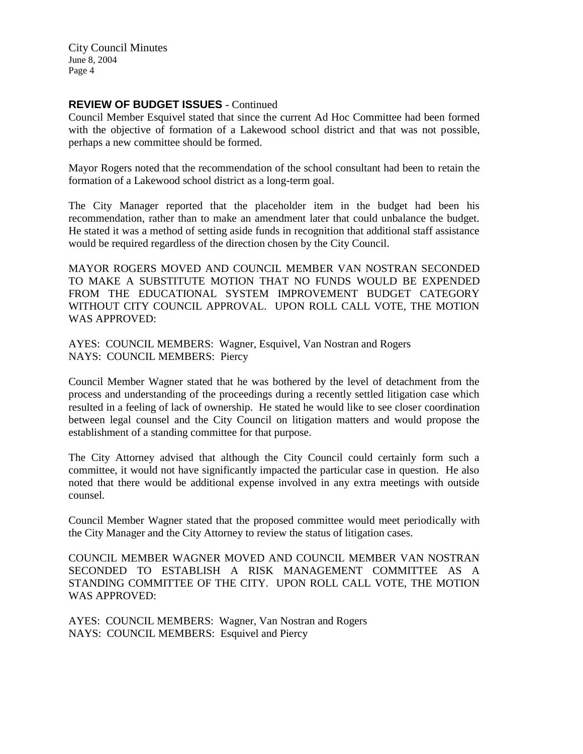## **REVIEW OF BUDGET ISSUES** - Continued

Council Member Esquivel stated that since the current Ad Hoc Committee had been formed with the objective of formation of a Lakewood school district and that was not possible, perhaps a new committee should be formed.

Mayor Rogers noted that the recommendation of the school consultant had been to retain the formation of a Lakewood school district as a long-term goal.

The City Manager reported that the placeholder item in the budget had been his recommendation, rather than to make an amendment later that could unbalance the budget. He stated it was a method of setting aside funds in recognition that additional staff assistance would be required regardless of the direction chosen by the City Council.

MAYOR ROGERS MOVED AND COUNCIL MEMBER VAN NOSTRAN SECONDED TO MAKE A SUBSTITUTE MOTION THAT NO FUNDS WOULD BE EXPENDED FROM THE EDUCATIONAL SYSTEM IMPROVEMENT BUDGET CATEGORY WITHOUT CITY COUNCIL APPROVAL. UPON ROLL CALL VOTE, THE MOTION WAS APPROVED:

AYES: COUNCIL MEMBERS: Wagner, Esquivel, Van Nostran and Rogers NAYS: COUNCIL MEMBERS: Piercy

Council Member Wagner stated that he was bothered by the level of detachment from the process and understanding of the proceedings during a recently settled litigation case which resulted in a feeling of lack of ownership. He stated he would like to see closer coordination between legal counsel and the City Council on litigation matters and would propose the establishment of a standing committee for that purpose.

The City Attorney advised that although the City Council could certainly form such a committee, it would not have significantly impacted the particular case in question. He also noted that there would be additional expense involved in any extra meetings with outside counsel.

Council Member Wagner stated that the proposed committee would meet periodically with the City Manager and the City Attorney to review the status of litigation cases.

COUNCIL MEMBER WAGNER MOVED AND COUNCIL MEMBER VAN NOSTRAN SECONDED TO ESTABLISH A RISK MANAGEMENT COMMITTEE AS A STANDING COMMITTEE OF THE CITY. UPON ROLL CALL VOTE, THE MOTION WAS APPROVED:

AYES: COUNCIL MEMBERS: Wagner, Van Nostran and Rogers NAYS: COUNCIL MEMBERS: Esquivel and Piercy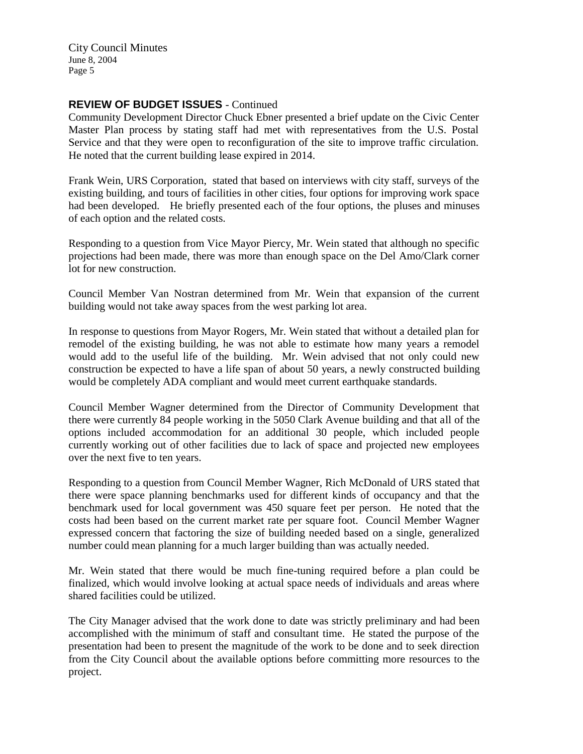## **REVIEW OF BUDGET ISSUES** - Continued

Community Development Director Chuck Ebner presented a brief update on the Civic Center Master Plan process by stating staff had met with representatives from the U.S. Postal Service and that they were open to reconfiguration of the site to improve traffic circulation. He noted that the current building lease expired in 2014.

Frank Wein, URS Corporation, stated that based on interviews with city staff, surveys of the existing building, and tours of facilities in other cities, four options for improving work space had been developed. He briefly presented each of the four options, the pluses and minuses of each option and the related costs.

Responding to a question from Vice Mayor Piercy, Mr. Wein stated that although no specific projections had been made, there was more than enough space on the Del Amo/Clark corner lot for new construction.

Council Member Van Nostran determined from Mr. Wein that expansion of the current building would not take away spaces from the west parking lot area.

In response to questions from Mayor Rogers, Mr. Wein stated that without a detailed plan for remodel of the existing building, he was not able to estimate how many years a remodel would add to the useful life of the building. Mr. Wein advised that not only could new construction be expected to have a life span of about 50 years, a newly constructed building would be completely ADA compliant and would meet current earthquake standards.

Council Member Wagner determined from the Director of Community Development that there were currently 84 people working in the 5050 Clark Avenue building and that all of the options included accommodation for an additional 30 people, which included people currently working out of other facilities due to lack of space and projected new employees over the next five to ten years.

Responding to a question from Council Member Wagner, Rich McDonald of URS stated that there were space planning benchmarks used for different kinds of occupancy and that the benchmark used for local government was 450 square feet per person. He noted that the costs had been based on the current market rate per square foot. Council Member Wagner expressed concern that factoring the size of building needed based on a single, generalized number could mean planning for a much larger building than was actually needed.

Mr. Wein stated that there would be much fine-tuning required before a plan could be finalized, which would involve looking at actual space needs of individuals and areas where shared facilities could be utilized.

The City Manager advised that the work done to date was strictly preliminary and had been accomplished with the minimum of staff and consultant time. He stated the purpose of the presentation had been to present the magnitude of the work to be done and to seek direction from the City Council about the available options before committing more resources to the project.